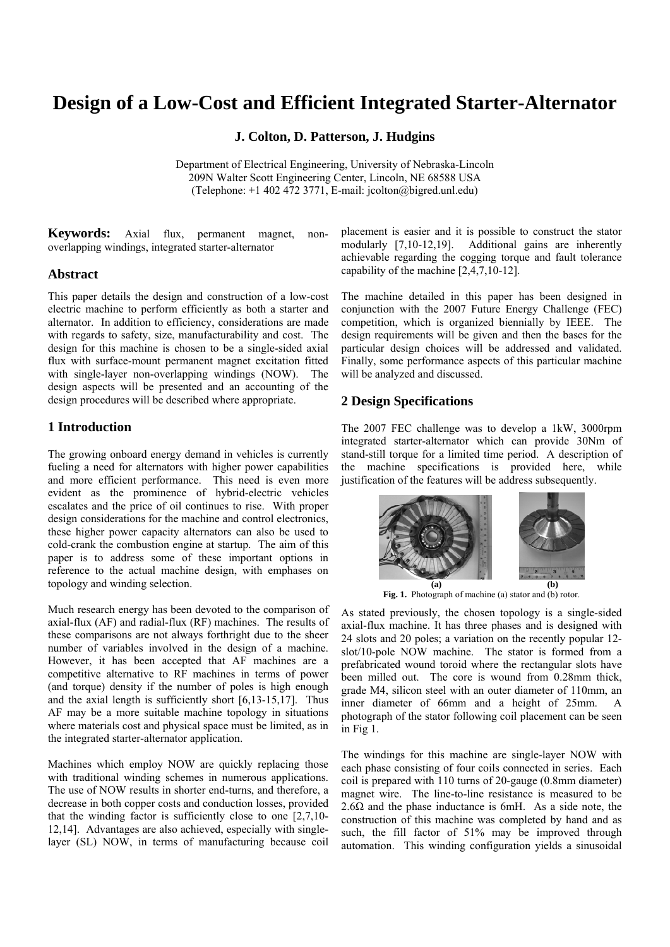# **Design of a Low-Cost and Efficient Integrated Starter-Alternator**

**J. Colton, D. Patterson, J. Hudgins** 

Department of Electrical Engineering, University of Nebraska-Lincoln 209N Walter Scott Engineering Center, Lincoln, NE 68588 USA (Telephone:  $+1$  402 472 3771, E-mail: jcolton@bigred.unl.edu)

**Keywords:** Axial flux, permanent magnet, nonoverlapping windings, integrated starter-alternator

#### **Abstract**

This paper details the design and construction of a low-cost electric machine to perform efficiently as both a starter and alternator. In addition to efficiency, considerations are made with regards to safety, size, manufacturability and cost. The design for this machine is chosen to be a single-sided axial flux with surface-mount permanent magnet excitation fitted with single-layer non-overlapping windings (NOW). The design aspects will be presented and an accounting of the design procedures will be described where appropriate.

## **1 Introduction**

The growing onboard energy demand in vehicles is currently fueling a need for alternators with higher power capabilities and more efficient performance. This need is even more evident as the prominence of hybrid-electric vehicles escalates and the price of oil continues to rise. With proper design considerations for the machine and control electronics, these higher power capacity alternators can also be used to cold-crank the combustion engine at startup. The aim of this paper is to address some of these important options in reference to the actual machine design, with emphases on topology and winding selection.

Much research energy has been devoted to the comparison of axial-flux (AF) and radial-flux (RF) machines. The results of these comparisons are not always forthright due to the sheer number of variables involved in the design of a machine. However, it has been accepted that AF machines are a competitive alternative to RF machines in terms of power (and torque) density if the number of poles is high enough and the axial length is sufficiently short [6,13-15,17]. Thus AF may be a more suitable machine topology in situations where materials cost and physical space must be limited, as in the integrated starter-alternator application.

Machines which employ NOW are quickly replacing those with traditional winding schemes in numerous applications. The use of NOW results in shorter end-turns, and therefore, a decrease in both copper costs and conduction losses, provided that the winding factor is sufficiently close to one [2,7,10- 12,14]. Advantages are also achieved, especially with singlelayer (SL) NOW, in terms of manufacturing because coil placement is easier and it is possible to construct the stator modularly [7,10-12,19]. Additional gains are inherently achievable regarding the cogging torque and fault tolerance capability of the machine [2,4,7,10-12].

The machine detailed in this paper has been designed in conjunction with the 2007 Future Energy Challenge (FEC) competition, which is organized biennially by IEEE. The design requirements will be given and then the bases for the particular design choices will be addressed and validated. Finally, some performance aspects of this particular machine will be analyzed and discussed.

## **2 Design Specifications**

The 2007 FEC challenge was to develop a 1kW, 3000rpm integrated starter-alternator which can provide 30Nm of stand-still torque for a limited time period. A description of the machine specifications is provided here, while justification of the features will be address subsequently.



**Fig. 1.** Photograph of machine (a) stator and (b) rotor.

As stated previously, the chosen topology is a single-sided axial-flux machine. It has three phases and is designed with 24 slots and 20 poles; a variation on the recently popular 12 slot/10-pole NOW machine. The stator is formed from a prefabricated wound toroid where the rectangular slots have been milled out. The core is wound from 0.28mm thick, grade M4, silicon steel with an outer diameter of 110mm, an inner diameter of 66mm and a height of 25mm. A photograph of the stator following coil placement can be seen in Fig 1.

The windings for this machine are single-layer NOW with each phase consisting of four coils connected in series. Each coil is prepared with 110 turns of 20-gauge (0.8mm diameter) magnet wire. The line-to-line resistance is measured to be  $2.6\Omega$  and the phase inductance is 6mH. As a side note, the construction of this machine was completed by hand and as such, the fill factor of 51% may be improved through automation. This winding configuration yields a sinusoidal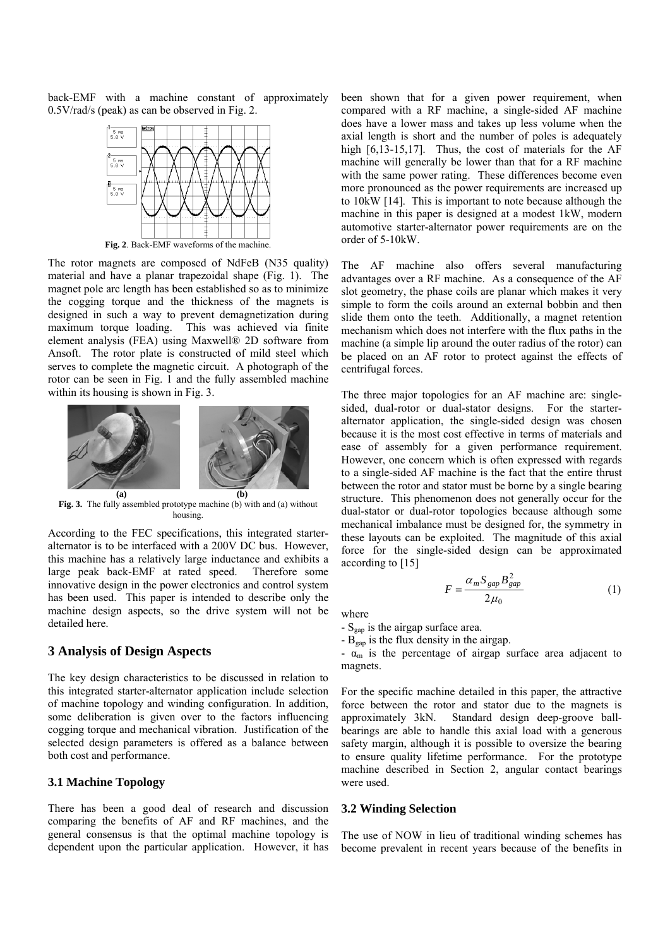back-EMF with a machine constant of approximately 0.5V/rad/s (peak) as can be observed in Fig. 2.



**Fig. 2**. Back-EMF waveforms of the machine.

The rotor magnets are composed of NdFeB (N35 quality) material and have a planar trapezoidal shape (Fig. 1). The magnet pole arc length has been established so as to minimize the cogging torque and the thickness of the magnets is designed in such a way to prevent demagnetization during maximum torque loading. This was achieved via finite element analysis (FEA) using Maxwell® 2D software from Ansoft. The rotor plate is constructed of mild steel which serves to complete the magnetic circuit. A photograph of the rotor can be seen in Fig. 1 and the fully assembled machine within its housing is shown in Fig. 3.



**Fig. 3.** The fully assembled prototype machine (b) with and (a) without housing.

According to the FEC specifications, this integrated starteralternator is to be interfaced with a 200V DC bus. However, this machine has a relatively large inductance and exhibits a large peak back-EMF at rated speed. Therefore some innovative design in the power electronics and control system has been used. This paper is intended to describe only the machine design aspects, so the drive system will not be detailed here.

## **3 Analysis of Design Aspects**

The key design characteristics to be discussed in relation to this integrated starter-alternator application include selection of machine topology and winding configuration. In addition, some deliberation is given over to the factors influencing cogging torque and mechanical vibration. Justification of the selected design parameters is offered as a balance between both cost and performance.

### **3.1 Machine Topology**

There has been a good deal of research and discussion comparing the benefits of AF and RF machines, and the general consensus is that the optimal machine topology is dependent upon the particular application. However, it has been shown that for a given power requirement, when compared with a RF machine, a single-sided AF machine does have a lower mass and takes up less volume when the axial length is short and the number of poles is adequately high [6,13-15,17]. Thus, the cost of materials for the AF machine will generally be lower than that for a RF machine with the same power rating. These differences become even more pronounced as the power requirements are increased up to 10kW [14]. This is important to note because although the machine in this paper is designed at a modest 1kW, modern automotive starter-alternator power requirements are on the order of 5-10kW.

The AF machine also offers several manufacturing advantages over a RF machine. As a consequence of the AF slot geometry, the phase coils are planar which makes it very simple to form the coils around an external bobbin and then slide them onto the teeth. Additionally, a magnet retention mechanism which does not interfere with the flux paths in the machine (a simple lip around the outer radius of the rotor) can be placed on an AF rotor to protect against the effects of centrifugal forces.

The three major topologies for an AF machine are: singlesided, dual-rotor or dual-stator designs. For the starteralternator application, the single-sided design was chosen because it is the most cost effective in terms of materials and ease of assembly for a given performance requirement. However, one concern which is often expressed with regards to a single-sided AF machine is the fact that the entire thrust between the rotor and stator must be borne by a single bearing structure. This phenomenon does not generally occur for the dual-stator or dual-rotor topologies because although some mechanical imbalance must be designed for, the symmetry in these layouts can be exploited. The magnitude of this axial force for the single-sided design can be approximated according to [15]

$$
F = \frac{\alpha_m S_{gap} B_{gap}^2}{2\mu_0} \tag{1}
$$

where

- Sgap is the airgap surface area.

- Bgap is the flux density in the airgap.

 $-\alpha_{\rm m}$  is the percentage of airgap surface area adjacent to magnets.

For the specific machine detailed in this paper, the attractive force between the rotor and stator due to the magnets is approximately 3kN. Standard design deep-groove ballbearings are able to handle this axial load with a generous safety margin, although it is possible to oversize the bearing to ensure quality lifetime performance. For the prototype machine described in Section 2, angular contact bearings were used.

#### **3.2 Winding Selection**

The use of NOW in lieu of traditional winding schemes has become prevalent in recent years because of the benefits in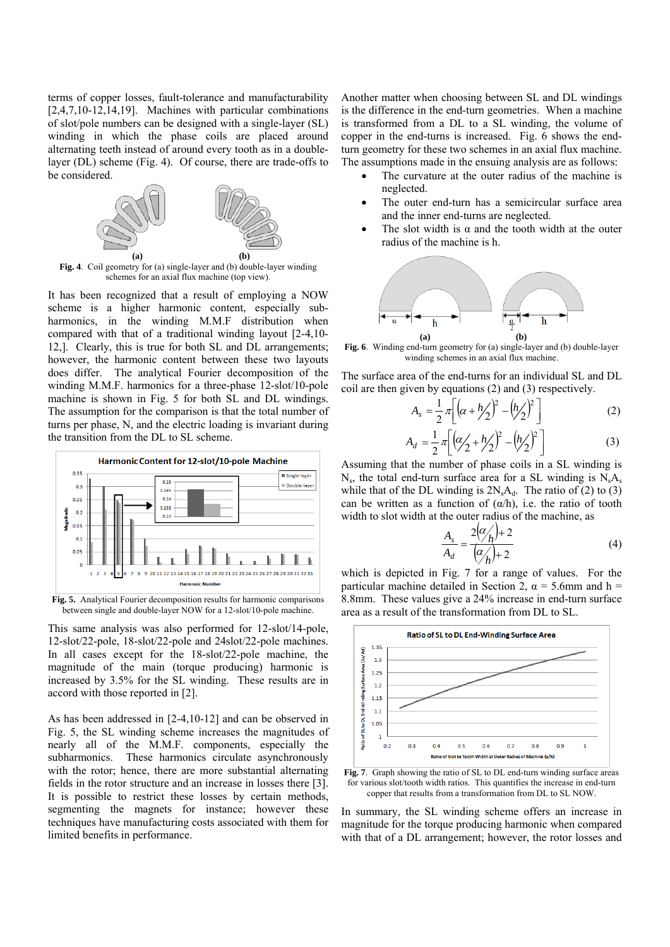terms of copper losses, fault-tolerance and manufacturability [2,4,7,10-12,14,19]. Machines with particular combinations of slot/pole numbers can be designed with a single-layer (SL) winding in which the phase coils are placed around alternating teeth instead of around every tooth as in a doublelayer (DL) scheme (Fig. 4). Of course, there are trade-offs to be considered.



**Fig. 4**. Coil geometry for (a) single-layer and (b) double-layer winding schemes for an axial flux machine (top view).

It has been recognized that a result of employing a NOW scheme is a higher harmonic content, especially subharmonics, in the winding M.M.F distribution when compared with that of a traditional winding layout [2-4,10- 12,]. Clearly, this is true for both SL and DL arrangements; however, the harmonic content between these two layouts does differ. The analytical Fourier decomposition of the winding M.M.F. harmonics for a three-phase 12-slot/10-pole machine is shown in Fig. 5 for both SL and DL windings. The assumption for the comparison is that the total number of turns per phase, N, and the electric loading is invariant during the transition from the DL to SL scheme.



**Fig. 5.** Analytical Fourier decomposition results for harmonic comparisons between single and double-layer NOW for a 12-slot/10-pole machine.

This same analysis was also performed for 12-slot/14-pole, 12-slot/22-pole, 18-slot/22-pole and 24slot/22-pole machines. In all cases except for the 18-slot/22-pole machine, the magnitude of the main (torque producing) harmonic is increased by 3.5% for the SL winding. These results are in accord with those reported in [2].

As has been addressed in [2-4,10-12] and can be observed in Fig. 5, the SL winding scheme increases the magnitudes of nearly all of the M.M.F. components, especially the subharmonics. These harmonics circulate asynchronously with the rotor; hence, there are more substantial alternating fields in the rotor structure and an increase in losses there [3]. It is possible to restrict these losses by certain methods, segmenting the magnets for instance; however these techniques have manufacturing costs associated with them for limited benefits in performance.

Another matter when choosing between SL and DL windings is the difference in the end-turn geometries. When a machine is transformed from a DL to a SL winding, the volume of copper in the end-turns is increased. Fig. 6 shows the endturn geometry for these two schemes in an axial flux machine. The assumptions made in the ensuing analysis are as follows:

- The curvature at the outer radius of the machine is neglected.
- The outer end-turn has a semicircular surface area and the inner end-turns are neglected.
- The slot width is  $\alpha$  and the tooth width at the outer radius of the machine is h.



**Fig. 6**. Winding end-turn geometry for (a) single-layer and (b) double-layer winding schemes in an axial flux machine.

The surface area of the end-turns for an individual SL and DL coil are then given by equations (2) and (3) respectively.

$$
A_s = \frac{1}{2} \pi \left[ \left( \alpha + \frac{h}{2} \right)^2 - \left( \frac{h}{2} \right)^2 \right] \tag{2}
$$

$$
A_d = \frac{1}{2} \pi \left[ \left( \frac{\alpha}{2} + \frac{h}{2} \right)^2 - \left( \frac{h}{2} \right)^2 \right] \tag{3}
$$

Assuming that the number of phase coils in a SL winding is  $N_s$ , the total end-turn surface area for a SL winding is  $N_sA_s$ while that of the DL winding is  $2N<sub>s</sub>A<sub>d</sub>$ . The ratio of (2) to (3) can be written as a function of  $(\alpha/h)$ , i.e. the ratio of tooth width to slot width at the outer radius of the machine, as

$$
\frac{A_s}{A_d} = \frac{2(\alpha/h) + 2}{(\alpha/h) + 2} \tag{4}
$$

which is depicted in Fig. 7 for a range of values. For the particular machine detailed in Section 2,  $\alpha = 5.6$ mm and h = 8.8mm. These values give a 24% increase in end-turn surface area as a result of the transformation from DL to SL.



**Fig. 7**. Graph showing the ratio of SL to DL end-turn winding surface areas for various slot/tooth width ratios. This quantifies the increase in end-turn copper that results from a transformation from DL to SL NOW.

In summary, the SL winding scheme offers an increase in magnitude for the torque producing harmonic when compared with that of a DL arrangement; however, the rotor losses and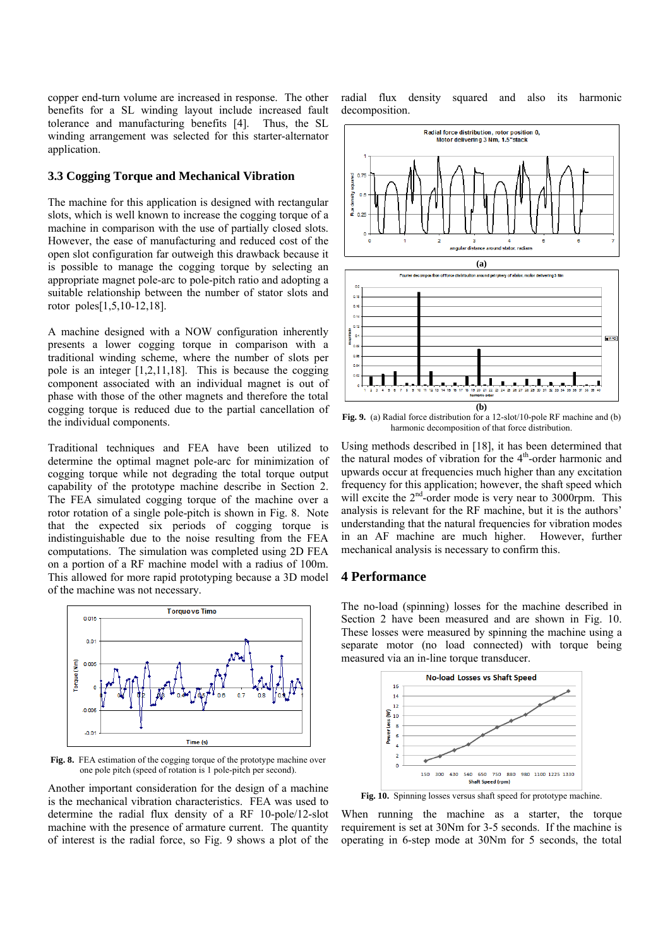copper end-turn volume are increased in response. The other benefits for a SL winding layout include increased fault tolerance and manufacturing benefits [4]. Thus, the SL winding arrangement was selected for this starter-alternator application.

#### **3.3 Cogging Torque and Mechanical Vibration**

The machine for this application is designed with rectangular slots, which is well known to increase the cogging torque of a machine in comparison with the use of partially closed slots. However, the ease of manufacturing and reduced cost of the open slot configuration far outweigh this drawback because it is possible to manage the cogging torque by selecting an appropriate magnet pole-arc to pole-pitch ratio and adopting a suitable relationship between the number of stator slots and rotor poles[1,5,10-12,18].

A machine designed with a NOW configuration inherently presents a lower cogging torque in comparison with a traditional winding scheme, where the number of slots per pole is an integer [1,2,11,18]. This is because the cogging component associated with an individual magnet is out of phase with those of the other magnets and therefore the total cogging torque is reduced due to the partial cancellation of the individual components.

Traditional techniques and FEA have been utilized to determine the optimal magnet pole-arc for minimization of cogging torque while not degrading the total torque output capability of the prototype machine describe in Section 2. The FEA simulated cogging torque of the machine over a rotor rotation of a single pole-pitch is shown in Fig. 8. Note that the expected six periods of cogging torque is indistinguishable due to the noise resulting from the FEA computations. The simulation was completed using 2D FEA on a portion of a RF machine model with a radius of 100m. This allowed for more rapid prototyping because a 3D model of the machine was not necessary.



**Fig. 8.** FEA estimation of the cogging torque of the prototype machine over one pole pitch (speed of rotation is 1 pole-pitch per second).

Another important consideration for the design of a machine is the mechanical vibration characteristics. FEA was used to determine the radial flux density of a RF 10-pole/12-slot machine with the presence of armature current. The quantity of interest is the radial force, so Fig. 9 shows a plot of the

radial flux density squared and also its harmonic decomposition.



**Fig. 9.** (a) Radial force distribution for a 12-slot/10-pole RF machine and (b) harmonic decomposition of that force distribution.

Using methods described in [18], it has been determined that the natural modes of vibration for the  $4<sup>th</sup>$ -order harmonic and upwards occur at frequencies much higher than any excitation frequency for this application; however, the shaft speed which will excite the 2<sup>nd</sup>-order mode is very near to 3000rpm. This analysis is relevant for the RF machine, but it is the authors' understanding that the natural frequencies for vibration modes in an AF machine are much higher. However, further mechanical analysis is necessary to confirm this.

## **4 Performance**

The no-load (spinning) losses for the machine described in Section 2 have been measured and are shown in Fig. 10. These losses were measured by spinning the machine using a separate motor (no load connected) with torque being measured via an in-line torque transducer.



**Fig. 10.** Spinning losses versus shaft speed for prototype machine.

When running the machine as a starter, the torque requirement is set at 30Nm for 3-5 seconds. If the machine is operating in 6-step mode at 30Nm for 5 seconds, the total